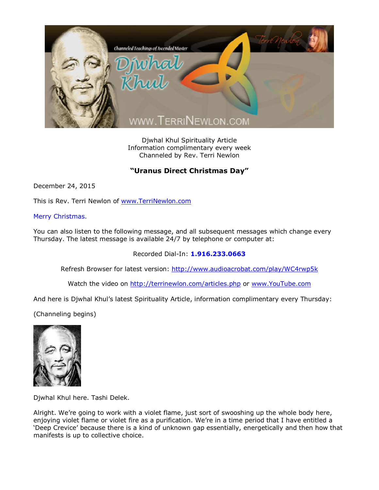

Djwhal Khul Spirituality Article Information complimentary every week Channeled by Rev. Terri Newlon

## **"Uranus Direct Christmas Day"**

December 24, 2015

This is Rev. Terri Newlon of [www.TerriNewlon.com](http://www.terrinewlon.com/)

## Merry Christmas.

You can also listen to the following message, and all subsequent messages which change every Thursday. The latest message is available 24/7 by telephone or computer at:

## Recorded Dial-In: **1.916.233.0663**

Refresh Browser for latest version: <http://www.audioacrobat.com/play/WC4rwp5k>

Watch the video on <http://terrinewlon.com/articles.php> or [www.YouTube.com](http://www.youtube.com/)

And here is Djwhal Khul's latest Spirituality Article, information complimentary every Thursday:

(Channeling begins)



Djwhal Khul here. Tashi Delek.

Alright. We're going to work with a violet flame, just sort of swooshing up the whole body here, enjoying violet flame or violet fire as a purification. We're in a time period that I have entitled a 'Deep Crevice' because there is a kind of unknown gap essentially, energetically and then how that manifests is up to collective choice.